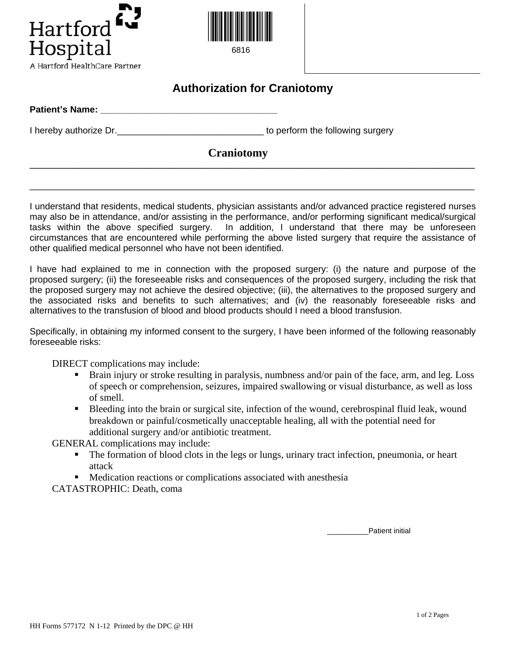



6816

## **Authorization for Craniotomy**

| <b>Patient's Name:</b> |                                  |
|------------------------|----------------------------------|
| I hereby authorize Dr. | to perform the following surgery |
|                        | <b>Craniotomy</b>                |
|                        |                                  |

I understand that residents, medical students, physician assistants and/or advanced practice registered nurses may also be in attendance, and/or assisting in the performance, and/or performing significant medical/surgical tasks within the above specified surgery. In addition, I understand that there may be unforeseen circumstances that are encountered while performing the above listed surgery that require the assistance of other qualified medical personnel who have not been identified.

\_\_\_\_\_\_\_\_\_\_\_\_\_\_\_\_\_\_\_\_\_\_\_\_\_\_\_\_\_\_\_\_\_\_\_\_\_\_\_\_\_\_\_\_\_\_\_\_\_\_\_\_\_\_\_\_\_\_\_\_\_\_\_\_\_\_\_\_\_\_\_\_\_\_\_\_\_\_\_\_\_\_\_\_\_\_\_\_

I have had explained to me in connection with the proposed surgery: (i) the nature and purpose of the proposed surgery; (ii) the foreseeable risks and consequences of the proposed surgery, including the risk that the proposed surgery may not achieve the desired objective; (iii), the alternatives to the proposed surgery and the associated risks and benefits to such alternatives; and (iv) the reasonably foreseeable risks and alternatives to the transfusion of blood and blood products should I need a blood transfusion.

Specifically, in obtaining my informed consent to the surgery, I have been informed of the following reasonably foreseeable risks:

DIRECT complications may include:

- Brain injury or stroke resulting in paralysis, numbness and/or pain of the face, arm, and leg. Loss of speech or comprehension, seizures, impaired swallowing or visual disturbance, as well as loss of smell.
- Bleeding into the brain or surgical site, infection of the wound, cerebrospinal fluid leak, wound breakdown or painful/cosmetically unacceptable healing, all with the potential need for additional surgery and/or antibiotic treatment.

GENERAL complications may include:

- The formation of blood clots in the legs or lungs, urinary tract infection, pneumonia, or heart attack
- Medication reactions or complications associated with anesthesia

CATASTROPHIC: Death, coma

\_\_\_\_\_\_\_\_\_\_Patient initial